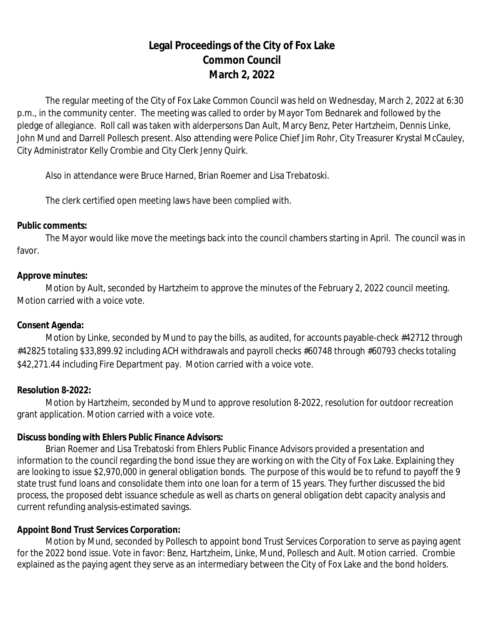# **Legal Proceedings of the City of Fox Lake Common Council March 2, 2022**

The regular meeting of the City of Fox Lake Common Council was held on Wednesday, March 2, 2022 at 6:30 p.m., in the community center. The meeting was called to order by Mayor Tom Bednarek and followed by the pledge of allegiance. Roll call was taken with alderpersons Dan Ault, Marcy Benz, Peter Hartzheim, Dennis Linke, John Mund and Darrell Pollesch present. Also attending were Police Chief Jim Rohr, City Treasurer Krystal McCauley, City Administrator Kelly Crombie and City Clerk Jenny Quirk.

Also in attendance were Bruce Harned, Brian Roemer and Lisa Trebatoski.

The clerk certified open meeting laws have been complied with.

## **Public comments:**

The Mayor would like move the meetings back into the council chambers starting in April. The council was in favor.

## **Approve minutes:**

Motion by Ault, seconded by Hartzheim to approve the minutes of the February 2, 2022 council meeting. Motion carried with a voice vote.

## **Consent Agenda:**

Motion by Linke, seconded by Mund to pay the bills, as audited, for accounts payable-check #42712 through #42825 totaling \$33,899.92 including ACH withdrawals and payroll checks #60748 through #60793 checks totaling \$42,271.44 including Fire Department pay. Motion carried with a voice vote.

## **Resolution 8-2022:**

Motion by Hartzheim, seconded by Mund to approve resolution 8-2022, resolution for outdoor recreation grant application. Motion carried with a voice vote.

## **Discuss bonding with Ehlers Public Finance Advisors:**

Brian Roemer and Lisa Trebatoski from Ehlers Public Finance Advisors provided a presentation and information to the council regarding the bond issue they are working on with the City of Fox Lake. Explaining they are looking to issue \$2,970,000 in general obligation bonds. The purpose of this would be to refund to payoff the 9 state trust fund loans and consolidate them into one loan for a term of 15 years. They further discussed the bid process, the proposed debt issuance schedule as well as charts on general obligation debt capacity analysis and current refunding analysis-estimated savings.

## **Appoint Bond Trust Services Corporation:**

Motion by Mund, seconded by Pollesch to appoint bond Trust Services Corporation to serve as paying agent for the 2022 bond issue. Vote in favor: Benz, Hartzheim, Linke, Mund, Pollesch and Ault. Motion carried. Crombie explained as the paying agent they serve as an intermediary between the City of Fox Lake and the bond holders.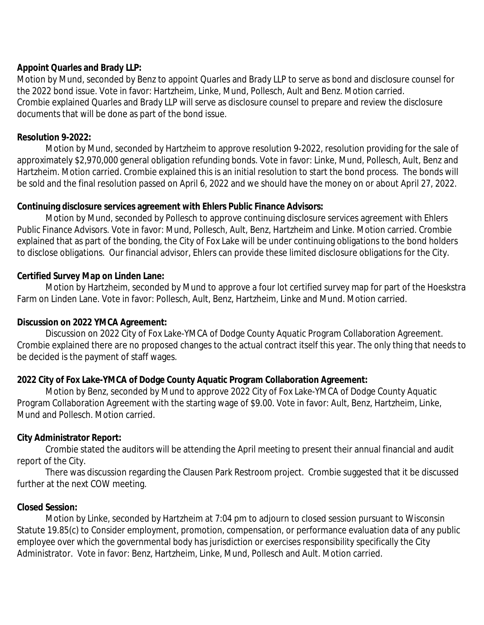# **Appoint Quarles and Brady LLP:**

Motion by Mund, seconded by Benz to appoint Quarles and Brady LLP to serve as bond and disclosure counsel for the 2022 bond issue. Vote in favor: Hartzheim, Linke, Mund, Pollesch, Ault and Benz. Motion carried. Crombie explained Quarles and Brady LLP will serve as disclosure counsel to prepare and review the disclosure documents that will be done as part of the bond issue.

## **Resolution 9-2022:**

Motion by Mund, seconded by Hartzheim to approve resolution 9-2022, resolution providing for the sale of approximately \$2,970,000 general obligation refunding bonds. Vote in favor: Linke, Mund, Pollesch, Ault, Benz and Hartzheim. Motion carried. Crombie explained this is an initial resolution to start the bond process. The bonds will be sold and the final resolution passed on April 6, 2022 and we should have the money on or about April 27, 2022.

## **Continuing disclosure services agreement with Ehlers Public Finance Advisors:**

Motion by Mund, seconded by Pollesch to approve continuing disclosure services agreement with Ehlers Public Finance Advisors. Vote in favor: Mund, Pollesch, Ault, Benz, Hartzheim and Linke. Motion carried. Crombie explained that as part of the bonding, the City of Fox Lake will be under continuing obligations to the bond holders to disclose obligations. Our financial advisor, Ehlers can provide these limited disclosure obligations for the City.

# **Certified Survey Map on Linden Lane:**

Motion by Hartzheim, seconded by Mund to approve a four lot certified survey map for part of the Hoeskstra Farm on Linden Lane. Vote in favor: Pollesch, Ault, Benz, Hartzheim, Linke and Mund. Motion carried.

# **Discussion on 2022 YMCA Agreement:**

Discussion on 2022 City of Fox Lake-YMCA of Dodge County Aquatic Program Collaboration Agreement. Crombie explained there are no proposed changes to the actual contract itself this year. The only thing that needs to be decided is the payment of staff wages.

# **2022 City of Fox Lake-YMCA of Dodge County Aquatic Program Collaboration Agreement:**

Motion by Benz, seconded by Mund to approve 2022 City of Fox Lake-YMCA of Dodge County Aquatic Program Collaboration Agreement with the starting wage of \$9.00. Vote in favor: Ault, Benz, Hartzheim, Linke, Mund and Pollesch. Motion carried.

# **City Administrator Report:**

Crombie stated the auditors will be attending the April meeting to present their annual financial and audit report of the City.

There was discussion regarding the Clausen Park Restroom project. Crombie suggested that it be discussed further at the next COW meeting.

# **Closed Session:**

Motion by Linke, seconded by Hartzheim at 7:04 pm to adjourn to closed session pursuant to Wisconsin Statute 19.85(c) to Consider employment, promotion, compensation, or performance evaluation data of any public employee over which the governmental body has jurisdiction or exercises responsibility specifically the City Administrator. Vote in favor: Benz, Hartzheim, Linke, Mund, Pollesch and Ault. Motion carried.